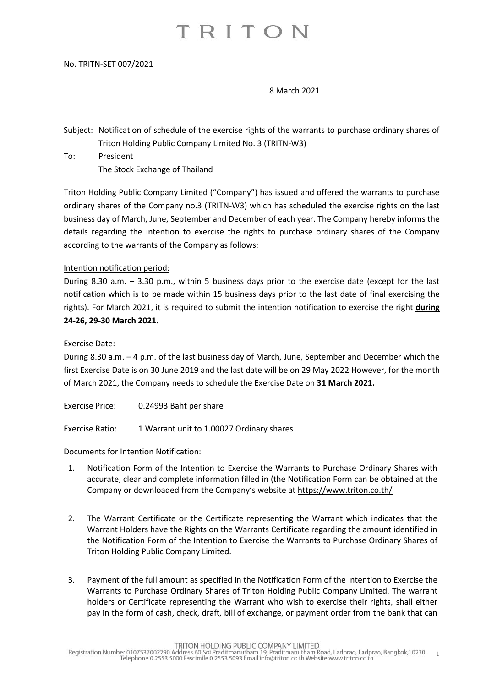## TRITON

#### No. TRITN-SET 007/2021

### 8 March 2021

Subject: Notification of schedule of the exercise rights of the warrants to purchase ordinary shares of Triton Holding Public Company Limited No. 3 (TRITN-W3)

To: President The Stock Exchange of Thailand

Triton Holding Public Company Limited ("Company") has issued and offered the warrants to purchase ordinary shares of the Company no.3 (TRITN-W3) which has scheduled the exercise rights on the last business day of March, June, September and December of each year. The Company hereby informs the details regarding the intention to exercise the rights to purchase ordinary shares of the Company according to the warrants of the Company as follows:

## Intention notification period:

During 8.30 a.m. – 3.30 p.m., within 5 business days prior to the exercise date (except for the last notification which is to be made within 15 business days prior to the last date of final exercising the rights). For March 2021, it is required to submit the intention notification to exercise the right **during 24-26, 29-30 March 2021.**

## Exercise Date:

During 8.30 a.m. – 4 p.m. of the last business day of March, June, September and December which the first Exercise Date is on 30 June 2019 and the last date will be on 29 May 2022 However, for the month of March 2021, the Company needs to schedule the Exercise Date on **31 March 2021.**

Exercise Price: 0.24993 Baht per share

Exercise Ratio: 1 Warrant unit to 1.00027 Ordinary shares

## Documents for Intention Notification:

- 1. Notification Form of the Intention to Exercise the Warrants to Purchase Ordinary Shares with accurate, clear and complete information filled in (the Notification Form can be obtained at the Company or downloaded from the Company's website at <https://www.triton.co.th/>
- 2. The Warrant Certificate or the Certificate representing the Warrant which indicates that the Warrant Holders have the Rights on the Warrants Certificate regarding the amount identified in the Notification Form of the Intention to Exercise the Warrants to Purchase Ordinary Shares of Triton Holding Public Company Limited.
- 3. Payment of the full amount as specified in the Notification Form of the Intention to Exercise the Warrants to Purchase Ordinary Shares of Triton Holding Public Company Limited. The warrant holders or Certificate representing the Warrant who wish to exercise their rights, shall either pay in the form of cash, check, draft, bill of exchange, or payment order from the bank that can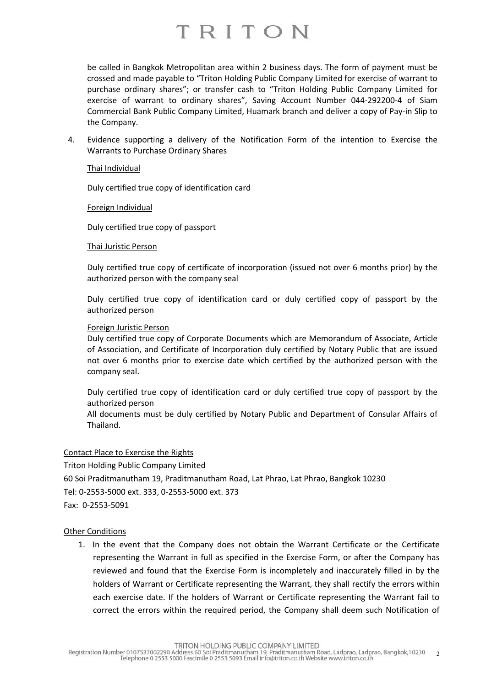## TRITON

be called in Bangkok Metropolitan area within 2 business days. The form of payment must be crossed and made payable to "Triton Holding Public Company Limited for exercise of warrant to purchase ordinary shares"; or transfer cash to "Triton Holding Public Company Limited for exercise of warrant to ordinary shares", Saving Account Number 044-292200-4 of Siam Commercial Bank Public Company Limited, Huamark branch and deliver a copy of Pay-in Slip to the Company.

4. Evidence supporting a delivery of the Notification Form of the intention to Exercise the Warrants to Purchase Ordinary Shares

### Thai Individual

Duly certified true copy of identification card

## Foreign Individual

Duly certified true copy of passport

## Thai Juristic Person

Duly certified true copy of certificate of incorporation (issued not over 6 months prior) by the authorized person with the company seal

Duly certified true copy of identification card or duly certified copy of passport by the authorized person

## Foreign Juristic Person

Duly certified true copy of Corporate Documents which are Memorandum of Associate, Article of Association, and Certificate of Incorporation duly certified by Notary Public that are issued not over 6 months prior to exercise date which certified by the authorized person with the company seal.

Duly certified true copy of identification card or duly certified true copy of passport by the authorized person

All documents must be duly certified by Notary Public and Department of Consular Affairs of Thailand.

## Contact Place to Exercise the Rights

Triton Holding Public Company Limited 60 Soi Praditmanutham 19, Praditmanutham Road, Lat Phrao, Lat Phrao, Bangkok 10230 Tel: 0-2553-5000 ext. 333, 0-2553-5000 ext. 373 Fax: 0-2553-5091

## Other Conditions

1. In the event that the Company does not obtain the Warrant Certificate or the Certificate representing the Warrant in full as specified in the Exercise Form, or after the Company has reviewed and found that the Exercise Form is incompletely and inaccurately filled in by the holders of Warrant or Certificate representing the Warrant, they shall rectify the errors within each exercise date. If the holders of Warrant or Certificate representing the Warrant fail to correct the errors within the required period, the Company shall deem such Notification of